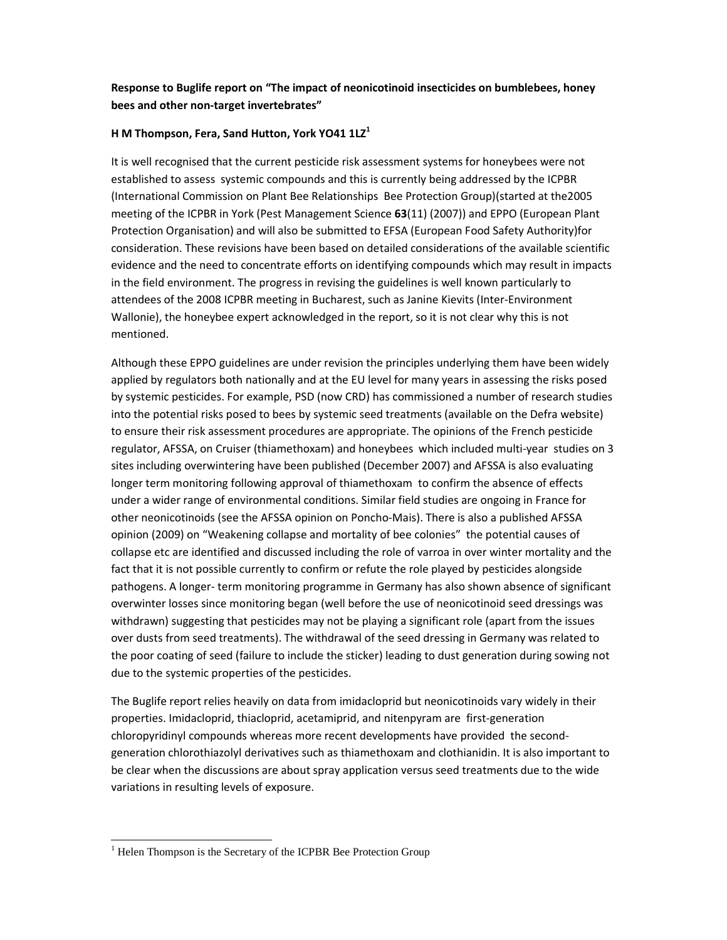## Response to Buglife report on "The impact of neonicotinoid insecticides on bumblebees, honey bees and other non-target invertebrates"

## H M Thompson, Fera, Sand Hutton, York YO41  $1LZ<sup>1</sup>$

It is well recognised that the current pesticide risk assessment systems for honeybees were not established to assess systemic compounds and this is currently being addressed by the ICPBR (International Commission on Plant Bee Relationships Bee Protection Group)(started at the2005 meeting of the ICPBR in York (Pest Management Science 63(11) (2007)) and EPPO (European Plant Protection Organisation) and will also be submitted to EFSA (European Food Safety Authority)for consideration. These revisions have been based on detailed considerations of the available scientific evidence and the need to concentrate efforts on identifying compounds which may result in impacts in the field environment. The progress in revising the guidelines is well known particularly to attendees of the 2008 ICPBR meeting in Bucharest, such as Janine Kievits (Inter-Environment Wallonie), the honeybee expert acknowledged in the report, so it is not clear why this is not mentioned.

Although these EPPO guidelines are under revision the principles underlying them have been widely applied by regulators both nationally and at the EU level for many years in assessing the risks posed by systemic pesticides. For example, PSD (now CRD) has commissioned a number of research studies into the potential risks posed to bees by systemic seed treatments (available on the Defra website) to ensure their risk assessment procedures are appropriate. The opinions of the French pesticide regulator, AFSSA, on Cruiser (thiamethoxam) and honeybees which included multi-year studies on 3 sites including overwintering have been published (December 2007) and AFSSA is also evaluating longer term monitoring following approval of thiamethoxam to confirm the absence of effects under a wider range of environmental conditions. Similar field studies are ongoing in France for other neonicotinoids (see the AFSSA opinion on Poncho-Mais). There is also a published AFSSA opinion (2009) on "Weakening collapse and mortality of bee colonies" the potential causes of collapse etc are identified and discussed including the role of varroa in over winter mortality and the fact that it is not possible currently to confirm or refute the role played by pesticides alongside pathogens. A longer- term monitoring programme in Germany has also shown absence of significant overwinter losses since monitoring began (well before the use of neonicotinoid seed dressings was withdrawn) suggesting that pesticides may not be playing a significant role (apart from the issues over dusts from seed treatments). The withdrawal of the seed dressing in Germany was related to the poor coating of seed (failure to include the sticker) leading to dust generation during sowing not due to the systemic properties of the pesticides.

The Buglife report relies heavily on data from imidacloprid but neonicotinoids vary widely in their properties. Imidacloprid, thiacloprid, acetamiprid, and nitenpyram are first-generation chloropyridinyl compounds whereas more recent developments have provided the secondgeneration chlorothiazolyl derivatives such as thiamethoxam and clothianidin. It is also important to be clear when the discussions are about spray application versus seed treatments due to the wide variations in resulting levels of exposure.

l,

<sup>&</sup>lt;sup>1</sup> Helen Thompson is the Secretary of the ICPBR Bee Protection Group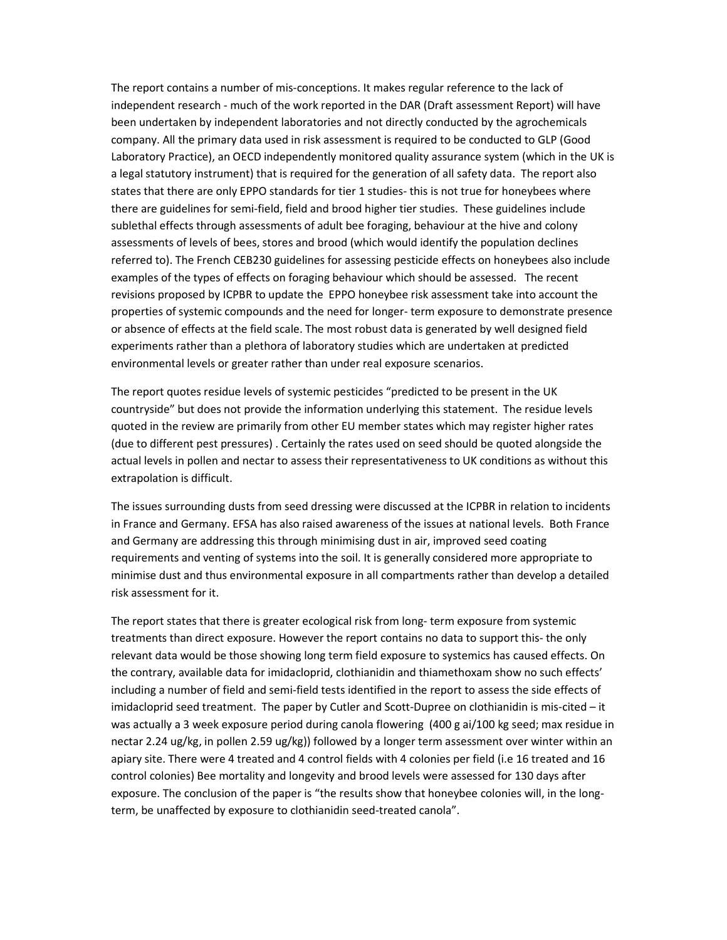The report contains a number of mis-conceptions. It makes regular reference to the lack of independent research - much of the work reported in the DAR (Draft assessment Report) will have been undertaken by independent laboratories and not directly conducted by the agrochemicals company. All the primary data used in risk assessment is required to be conducted to GLP (Good Laboratory Practice), an OECD independently monitored quality assurance system (which in the UK is a legal statutory instrument) that is required for the generation of all safety data. The report also states that there are only EPPO standards for tier 1 studies- this is not true for honeybees where there are guidelines for semi-field, field and brood higher tier studies. These guidelines include sublethal effects through assessments of adult bee foraging, behaviour at the hive and colony assessments of levels of bees, stores and brood (which would identify the population declines referred to). The French CEB230 guidelines for assessing pesticide effects on honeybees also include examples of the types of effects on foraging behaviour which should be assessed. The recent revisions proposed by ICPBR to update the EPPO honeybee risk assessment take into account the properties of systemic compounds and the need for longer- term exposure to demonstrate presence or absence of effects at the field scale. The most robust data is generated by well designed field experiments rather than a plethora of laboratory studies which are undertaken at predicted environmental levels or greater rather than under real exposure scenarios.

The report quotes residue levels of systemic pesticides "predicted to be present in the UK countryside" but does not provide the information underlying this statement. The residue levels quoted in the review are primarily from other EU member states which may register higher rates (due to different pest pressures) . Certainly the rates used on seed should be quoted alongside the actual levels in pollen and nectar to assess their representativeness to UK conditions as without this extrapolation is difficult.

The issues surrounding dusts from seed dressing were discussed at the ICPBR in relation to incidents in France and Germany. EFSA has also raised awareness of the issues at national levels. Both France and Germany are addressing this through minimising dust in air, improved seed coating requirements and venting of systems into the soil. It is generally considered more appropriate to minimise dust and thus environmental exposure in all compartments rather than develop a detailed risk assessment for it.

The report states that there is greater ecological risk from long- term exposure from systemic treatments than direct exposure. However the report contains no data to support this- the only relevant data would be those showing long term field exposure to systemics has caused effects. On the contrary, available data for imidacloprid, clothianidin and thiamethoxam show no such effects' including a number of field and semi-field tests identified in the report to assess the side effects of imidacloprid seed treatment. The paper by Cutler and Scott-Dupree on clothianidin is mis-cited – it was actually a 3 week exposure period during canola flowering (400 g ai/100 kg seed; max residue in nectar 2.24 ug/kg, in pollen 2.59 ug/kg)) followed by a longer term assessment over winter within an apiary site. There were 4 treated and 4 control fields with 4 colonies per field (i.e 16 treated and 16 control colonies) Bee mortality and longevity and brood levels were assessed for 130 days after exposure. The conclusion of the paper is "the results show that honeybee colonies will, in the longterm, be unaffected by exposure to clothianidin seed-treated canola".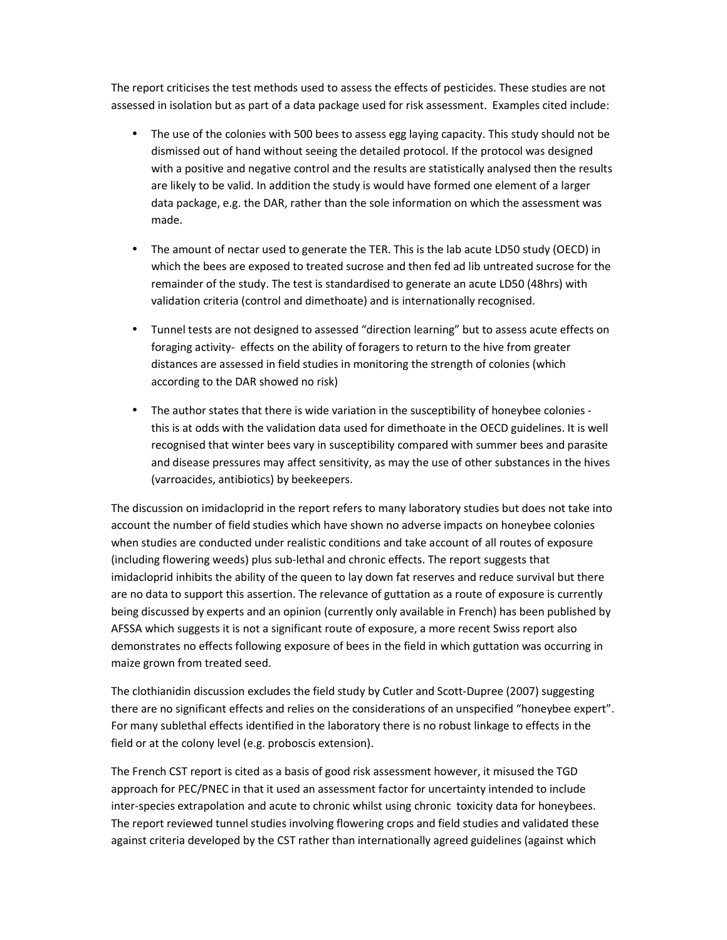The report criticises the test methods used to assess the effects of pesticides. These studies are not assessed in isolation but as part of a data package used for risk assessment. Examples cited include:

- The use of the colonies with 500 bees to assess egg laying capacity. This study should not be dismissed out of hand without seeing the detailed protocol. If the protocol was designed with a positive and negative control and the results are statistically analysed then the results are likely to be valid. In addition the study is would have formed one element of a larger data package, e.g. the DAR, rather than the sole information on which the assessment was made.
- The amount of nectar used to generate the TER. This is the lab acute LD50 study (OECD) in which the bees are exposed to treated sucrose and then fed ad lib untreated sucrose for the remainder of the study. The test is standardised to generate an acute LD50 (48hrs) with validation criteria (control and dimethoate) and is internationally recognised.
- Tunnel tests are not designed to assessed "direction learning" but to assess acute effects on foraging activity- effects on the ability of foragers to return to the hive from greater distances are assessed in field studies in monitoring the strength of colonies (which according to the DAR showed no risk)
- The author states that there is wide variation in the susceptibility of honeybee colonies this is at odds with the validation data used for dimethoate in the OECD guidelines. It is well recognised that winter bees vary in susceptibility compared with summer bees and parasite and disease pressures may affect sensitivity, as may the use of other substances in the hives (varroacides, antibiotics) by beekeepers.

The discussion on imidacloprid in the report refers to many laboratory studies but does not take into account the number of field studies which have shown no adverse impacts on honeybee colonies when studies are conducted under realistic conditions and take account of all routes of exposure (including flowering weeds) plus sub-lethal and chronic effects. The report suggests that imidacloprid inhibits the ability of the queen to lay down fat reserves and reduce survival but there are no data to support this assertion. The relevance of guttation as a route of exposure is currently being discussed by experts and an opinion (currently only available in French) has been published by AFSSA which suggests it is not a significant route of exposure, a more recent Swiss report also demonstrates no effects following exposure of bees in the field in which guttation was occurring in maize grown from treated seed.

The clothianidin discussion excludes the field study by Cutler and Scott-Dupree (2007) suggesting there are no significant effects and relies on the considerations of an unspecified "honeybee expert". For many sublethal effects identified in the laboratory there is no robust linkage to effects in the field or at the colony level (e.g. proboscis extension).

The French CST report is cited as a basis of good risk assessment however, it misused the TGD approach for PEC/PNEC in that it used an assessment factor for uncertainty intended to include inter-species extrapolation and acute to chronic whilst using chronic toxicity data for honeybees. The report reviewed tunnel studies involving flowering crops and field studies and validated these against criteria developed by the CST rather than internationally agreed guidelines (against which